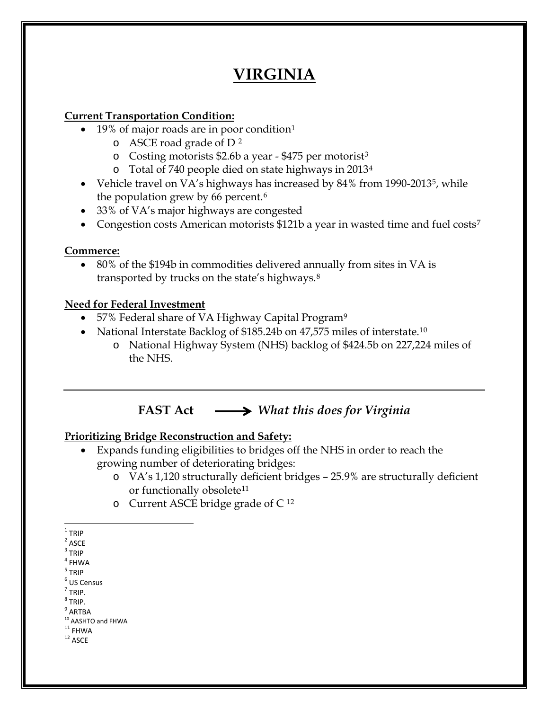# **VIRGINIA**

#### **Current Transportation Condition:**

- [1](#page-0-0)9% of major roads are in poor condition<sup>1</sup>
	- o ASCE road grade of D [2](#page-0-1)
	- o Costing motorists \$2.6b a year \$475 per motorist<sup>[3](#page-0-2)</sup>
	- o Total of 740 people died on state highways in 2013[4](#page-0-3)
- Vehicle travel on VA's highways has increased by 84% from 1990-2013<sup>[5](#page-0-4)</sup>, while the population grew by [6](#page-0-5)6 percent.<sup>6</sup>
- 33% of VA's major highways are congested
- Congestion costs American motorists \$121b a year in wasted time and fuel costs<sup>[7](#page-0-6)</sup>

#### **Commerce:**

• 80% of the \$194b in commodities delivered annually from sites in VA is transported by trucks on the state's highways.[8](#page-0-7)

## **Need for Federal Investment**

- 57% Federal share of VA Highway Capital Program<sup>9</sup>
- National Interstate Backlog of \$185.24b on 47,575 miles of interstate.<sup>[10](#page-0-9)</sup>
	- o National Highway System (NHS) backlog of \$424.5b on 227,224 miles of the NHS.

**FAST Act** *What this does for Virginia*

## **Prioritizing Bridge Reconstruction and Safety:**

- Expands funding eligibilities to bridges off the NHS in order to reach the growing number of deteriorating bridges:
	- o VA's 1,120 structurally deficient bridges 25.9% are structurally deficient or functionally obsolete<sup>[11](#page-0-10)</sup>
	- o Current ASCE bridge grade of C [12](#page-0-11)

<span id="page-0-6"></span> $<sup>7</sup>$  TRIP.</sup>

<span id="page-0-11"></span><span id="page-0-10"></span>

 $\overline{a}$  $1$  TRIP

<span id="page-0-1"></span><span id="page-0-0"></span> $2$  ASCE

<span id="page-0-2"></span> $3$  TRIP

<span id="page-0-3"></span> $^4$  FHWA  $\,$ 

<span id="page-0-4"></span><sup>5</sup> TRIP

<span id="page-0-5"></span> $<sup>6</sup>$  US Census</sup>

<span id="page-0-7"></span> $^8$  TRIP.

<span id="page-0-8"></span> $9$  ARTBA

<span id="page-0-9"></span><sup>&</sup>lt;sup>10</sup> AASHTO and FHWA<br><sup>11</sup> FHWA<br><sup>12</sup> ASCE